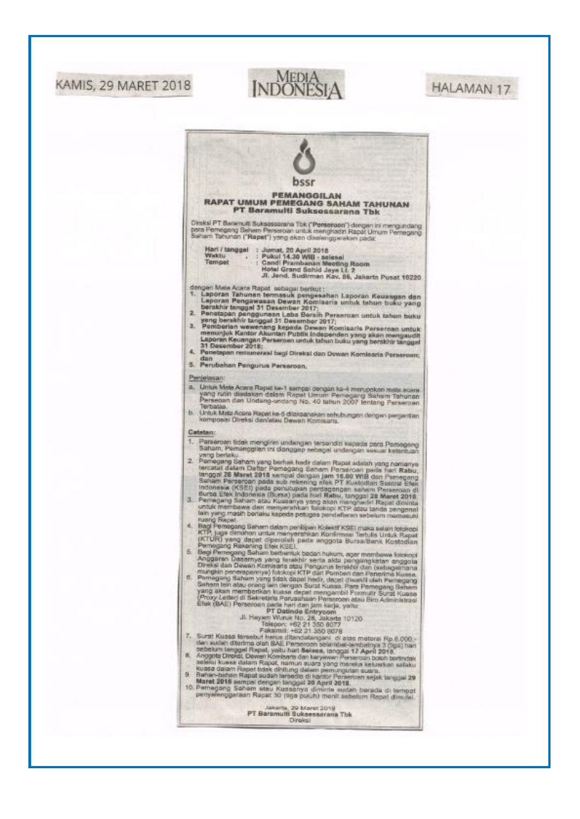# **KAMIS, 29 MARET 2018**



# **HALAMAN 17**